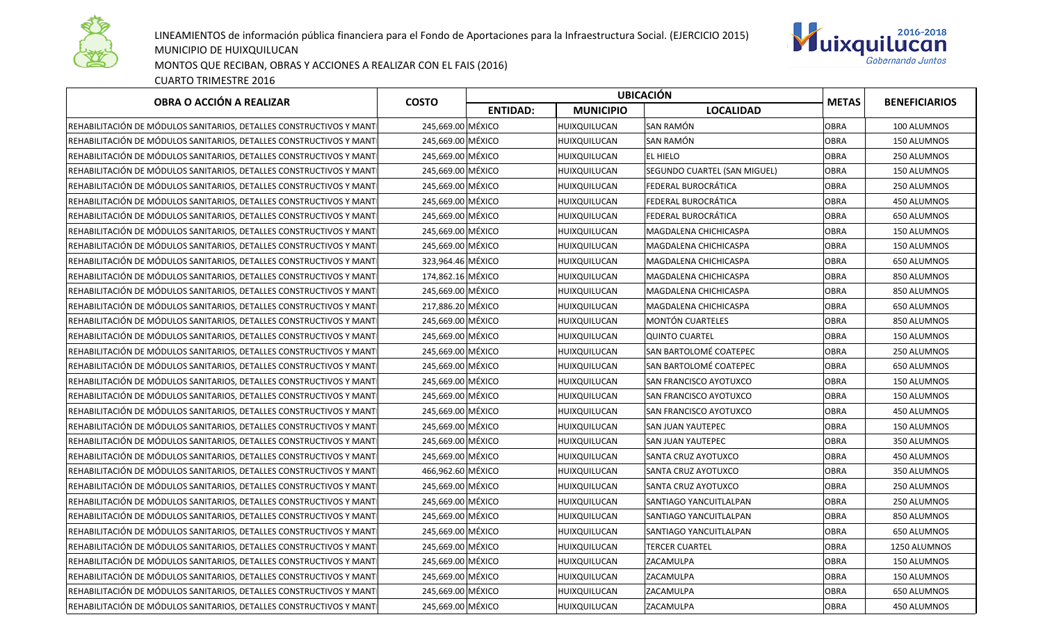

LINEAMIENTOS de información pública financiera para el Fondo de Aportaciones para la Infraestructura Social. (EJERCICIO 2015) MUNICIPIO DE HUIXQUILUCAN



MONTOS QUE RECIBAN, OBRAS Y ACCIONES A REALIZAR CON EL FAIS (2016)

CUARTO TRIMESTRE 2016

| OBRA O ACCIÓN A REALIZAR                                             | <b>COSTO</b>      | <b>UBICACIÓN</b> |                  |                              |              | <b>BENEFICIARIOS</b> |
|----------------------------------------------------------------------|-------------------|------------------|------------------|------------------------------|--------------|----------------------|
|                                                                      |                   | <b>ENTIDAD:</b>  | <b>MUNICIPIO</b> | <b>LOCALIDAD</b>             | <b>METAS</b> |                      |
| REHABILITACIÓN DE MÓDULOS SANITARIOS, DETALLES CONSTRUCTIVOS Y MANTI | 245,669.00 MÉXICO |                  | HUIXQUILUCAN     | SAN RAMÓN                    | <b>OBRA</b>  | 100 ALUMNOS          |
| REHABILITACIÓN DE MÓDULOS SANITARIOS, DETALLES CONSTRUCTIVOS Y MANTI | 245,669.00 MÉXICO |                  | HUIXQUILUCAN     | SAN RAMÓN                    | OBRA         | 150 ALUMNOS          |
| REHABILITACIÓN DE MÓDULOS SANITARIOS, DETALLES CONSTRUCTIVOS Y MANTI | 245,669.00 MÉXICO |                  | HUIXQUILUCAN     | EL HIELO                     | <b>OBRA</b>  | 250 ALUMNOS          |
| REHABILITACIÓN DE MÓDULOS SANITARIOS, DETALLES CONSTRUCTIVOS Y MANTI | 245,669.00 MÉXICO |                  | HUIXQUILUCAN     | SEGUNDO CUARTEL (SAN MIGUEL) | OBRA         | 150 ALUMNOS          |
| REHABILITACIÓN DE MÓDULOS SANITARIOS, DETALLES CONSTRUCTIVOS Y MANTI | 245,669.00 MÉXICO |                  | HUIXQUILUCAN     | FEDERAL BUROCRÁTICA          | <b>OBRA</b>  | 250 ALUMNOS          |
| REHABILITACIÓN DE MÓDULOS SANITARIOS, DETALLES CONSTRUCTIVOS Y MANTI | 245.669.00 MÉXICO |                  | HUIXQUILUCAN     | FEDERAL BUROCRÁTICA          | <b>OBRA</b>  | 450 ALUMNOS          |
| REHABILITACIÓN DE MÓDULOS SANITARIOS, DETALLES CONSTRUCTIVOS Y MANTI | 245,669.00 MÉXICO |                  | HUIXQUILUCAN     | FEDERAL BUROCRÁTICA          | <b>OBRA</b>  | 650 ALUMNOS          |
| REHABILITACIÓN DE MÓDULOS SANITARIOS, DETALLES CONSTRUCTIVOS Y MANTI | 245,669.00 MÉXICO |                  | HUIXQUILUCAN     | MAGDALENA CHICHICASPA        | <b>OBRA</b>  | 150 ALUMNOS          |
| REHABILITACIÓN DE MÓDULOS SANITARIOS, DETALLES CONSTRUCTIVOS Y MANTI | 245,669.00 MÉXICO |                  | HUIXQUILUCAN     | MAGDALENA CHICHICASPA        | OBRA         | 150 ALUMNOS          |
| REHABILITACIÓN DE MÓDULOS SANITARIOS, DETALLES CONSTRUCTIVOS Y MANTI | 323,964.46 MÉXICO |                  | HUIXQUILUCAN     | MAGDALENA CHICHICASPA        | <b>OBRA</b>  | 650 ALUMNOS          |
| REHABILITACIÓN DE MÓDULOS SANITARIOS, DETALLES CONSTRUCTIVOS Y MANTI | 174,862.16 MÉXICO |                  | HUIXQUILUCAN     | MAGDALENA CHICHICASPA        | <b>OBRA</b>  | 850 ALUMNOS          |
| REHABILITACIÓN DE MÓDULOS SANITARIOS, DETALLES CONSTRUCTIVOS Y MANTI | 245,669.00 MÉXICO |                  | HUIXQUILUCAN     | MAGDALENA CHICHICASPA        | <b>OBRA</b>  | 850 ALUMNOS          |
| REHABILITACIÓN DE MÓDULOS SANITARIOS, DETALLES CONSTRUCTIVOS Y MANTI | 217,886.20 MÉXICO |                  | HUIXQUILUCAN     | MAGDALENA CHICHICASPA        | <b>OBRA</b>  | 650 ALUMNOS          |
| REHABILITACIÓN DE MÓDULOS SANITARIOS, DETALLES CONSTRUCTIVOS Y MANTI | 245,669.00 MÉXICO |                  | HUIXQUILUCAN     | <b>MONTÓN CUARTELES</b>      | <b>OBRA</b>  | 850 ALUMNOS          |
| REHABILITACIÓN DE MÓDULOS SANITARIOS, DETALLES CONSTRUCTIVOS Y MANTI | 245,669.00 MÉXICO |                  | HUIXQUILUCAN     | <b>QUINTO CUARTEL</b>        | <b>OBRA</b>  | 150 ALUMNOS          |
| REHABILITACIÓN DE MÓDULOS SANITARIOS, DETALLES CONSTRUCTIVOS Y MANTI | 245,669.00 MÉXICO |                  | HUIXQUILUCAN     | SAN BARTOLOMÉ COATEPEC       | OBRA         | 250 ALUMNOS          |
| REHABILITACIÓN DE MÓDULOS SANITARIOS, DETALLES CONSTRUCTIVOS Y MANTI | 245,669.00 MÉXICO |                  | HUIXQUILUCAN     | SAN BARTOLOMÉ COATEPEC       | <b>OBRA</b>  | 650 ALUMNOS          |
| REHABILITACIÓN DE MÓDULOS SANITARIOS, DETALLES CONSTRUCTIVOS Y MANTI | 245,669.00 MÉXICO |                  | HUIXQUILUCAN     | SAN FRANCISCO AYOTUXCO       | OBRA         | 150 ALUMNOS          |
| REHABILITACIÓN DE MÓDULOS SANITARIOS, DETALLES CONSTRUCTIVOS Y MANTI | 245,669.00 MÉXICO |                  | HUIXQUILUCAN     | SAN FRANCISCO AYOTUXCO       | <b>OBRA</b>  | 150 ALUMNOS          |
| REHABILITACIÓN DE MÓDULOS SANITARIOS, DETALLES CONSTRUCTIVOS Y MANTI | 245.669.00 MÉXICO |                  | HUIXQUILUCAN     | SAN FRANCISCO AYOTUXCO       | <b>OBRA</b>  | 450 ALUMNOS          |
| REHABILITACIÓN DE MÓDULOS SANITARIOS, DETALLES CONSTRUCTIVOS Y MANTI | 245,669.00 MÉXICO |                  | HUIXQUILUCAN     | SAN JUAN YAUTEPEC            | <b>OBRA</b>  | 150 ALUMNOS          |
| REHABILITACIÓN DE MÓDULOS SANITARIOS, DETALLES CONSTRUCTIVOS Y MANTI | 245,669.00 MÉXICO |                  | HUIXQUILUCAN     | SAN JUAN YAUTEPEC            | <b>OBRA</b>  | 350 ALUMNOS          |
| REHABILITACIÓN DE MÓDULOS SANITARIOS, DETALLES CONSTRUCTIVOS Y MANTI | 245,669.00 MÉXICO |                  | HUIXQUILUCAN     | SANTA CRUZ AYOTUXCO          | OBRA         | 450 ALUMNOS          |
| REHABILITACIÓN DE MÓDULOS SANITARIOS, DETALLES CONSTRUCTIVOS Y MANTI | 466,962.60 MÉXICO |                  | HUIXQUILUCAN     | SANTA CRUZ AYOTUXCO          | <b>OBRA</b>  | 350 ALUMNOS          |
| REHABILITACIÓN DE MÓDULOS SANITARIOS, DETALLES CONSTRUCTIVOS Y MANTI | 245,669.00 MÉXICO |                  | HUIXQUILUCAN     | SANTA CRUZ AYOTUXCO          | OBRA         | 250 ALUMNOS          |
| REHABILITACIÓN DE MÓDULOS SANITARIOS, DETALLES CONSTRUCTIVOS Y MANTI | 245,669.00 MÉXICO |                  | HUIXQUILUCAN     | SANTIAGO YANCUITLALPAN       | <b>OBRA</b>  | 250 ALUMNOS          |
| REHABILITACIÓN DE MÓDULOS SANITARIOS, DETALLES CONSTRUCTIVOS Y MANTI | 245.669.00 MÉXICO |                  | HUIXQUILUCAN     | SANTIAGO YANCUITLALPAN       | <b>OBRA</b>  | 850 ALUMNOS          |
| REHABILITACIÓN DE MÓDULOS SANITARIOS, DETALLES CONSTRUCTIVOS Y MANTI | 245,669.00 MÉXICO |                  | HUIXQUILUCAN     | SANTIAGO YANCUITLALPAN       | <b>OBRA</b>  | 650 ALUMNOS          |
| REHABILITACIÓN DE MÓDULOS SANITARIOS, DETALLES CONSTRUCTIVOS Y MANTI | 245,669.00 MÉXICO |                  | HUIXQUILUCAN     | <b>TERCER CUARTEL</b>        | <b>OBRA</b>  | 1250 ALUMNOS         |
| REHABILITACIÓN DE MÓDULOS SANITARIOS, DETALLES CONSTRUCTIVOS Y MANTI | 245,669.00 MÉXICO |                  | HUIXQUILUCAN     | ZACAMULPA                    | OBRA         | 150 ALUMNOS          |
| REHABILITACIÓN DE MÓDULOS SANITARIOS, DETALLES CONSTRUCTIVOS Y MANTI | 245,669.00 MÉXICO |                  | HUIXQUILUCAN     | ZACAMULPA                    | <b>OBRA</b>  | 150 ALUMNOS          |
| REHABILITACIÓN DE MÓDULOS SANITARIOS, DETALLES CONSTRUCTIVOS Y MANTI | 245,669.00 MÉXICO |                  | HUIXQUILUCAN     | ZACAMULPA                    | <b>OBRA</b>  | 650 ALUMNOS          |
| REHABILITACIÓN DE MÓDULOS SANITARIOS, DETALLES CONSTRUCTIVOS Y MANTI | 245,669.00 MÉXICO |                  | HUIXQUILUCAN     | ZACAMULPA                    | <b>OBRA</b>  | 450 ALUMNOS          |